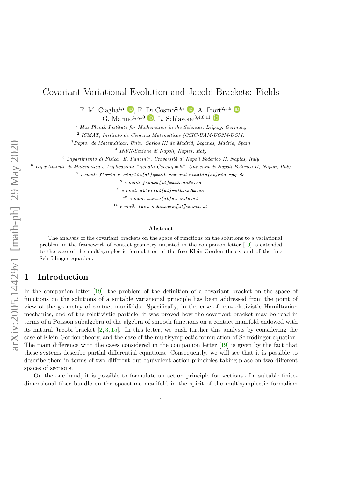# <span id="page-0-0"></span>Covariant Variational Evolution and Jacobi Brackets: Fields

F. M. Ciaglia<sup>1[,](https://orcid.org/0000-0002-0580-5858)7</sup>  $\Box$ , F. Di Cosmo<sup>2,3,8</sup>  $\Box$ , A. Ibort<sup>2,3,9</sup>  $\Box$ ,

G. Marmo<sup>4[,](https://orcid.org/0000-0003-2662-2193)5,10</sup> **b**. L. Schiavone<sup>3,4,6,11</sup> **b** 

 $1$  Max Planck Institute for Mathematics in the Sciences, Leipzig, Germany

<sup>2</sup> ICMAT, Instituto de Ciencias Matemáticas (CSIC-UAM-UC3M-UCM)

 $3$ Depto. de Matemáticas, Univ. Carlos III de Madrid, Leganés, Madrid, Spain

4 INFN-Sezione di Napoli, Naples, Italy

 $5$  Dipartimento di Fisica "E. Pancini", Università di Napoli Federico II, Naples, Italy

<sup>6</sup> Dipartimento di Matematica e Applicazioni "Renato Caccioppoli", Universit di Napoli Federico II, Napoli, Italy

 $^7$  e-mail: florio.m.ciaglia[at]gmail.com and ciaglia[at]mis.mpg.de

 $8$  e-mail:  $f \cos m o$  [at] math.uc3m.es

 $^9$  e-mail: albertoi[at]math.uc3m.es

 $10$  e-mail: marmo[at]na.infn.it

 $11$  e-mail: luca.schiavone[at]unina.it

#### Abstract

The analysis of the covariant brackets on the space of functions on the solutions to a variational problem in the framework of contact geometry initiated in the companion letter [\[19\]](#page-14-0) is extended to the case of the multisymplectic formulation of the free Klein-Gordon theory and of the free Schrödinger equation.

## 1 Introduction

In the companion letter [\[19\]](#page-14-0), the problem of the definition of a covariant bracket on the space of functions on the solutions of a suitable variational principle has been addressed from the point of view of the geometry of contact manifolds. Specifically, in the case of non-relativistic Hamiltonian mechanics, and of the relativistic particle, it was proved how the covariant bracket may be read in terms of a Poisson subalgebra of the algebra of smooth functions on a contact manifold endowed with its natural Jacobi bracket [\[2,](#page-13-0) [3,](#page-13-1) [15\]](#page-14-1). In this letter, we push further this analysis by considering the case of Klein-Gordon theory, and the case of the multisymplectic formulation of Schrödinger equation. The main difference with the cases considered in the companion letter [\[19\]](#page-14-0) is given by the fact that these systems describe partial differential equations. Consequently, we will see that it is possible to describe them in terms of two different but equivalent action principles taking place on two different spaces of sections.

On the one hand, it is possible to formulate an action principle for sections of a suitable finitedimensional fiber bundle on the spacetime manifold in the spirit of the multisymplectic formalism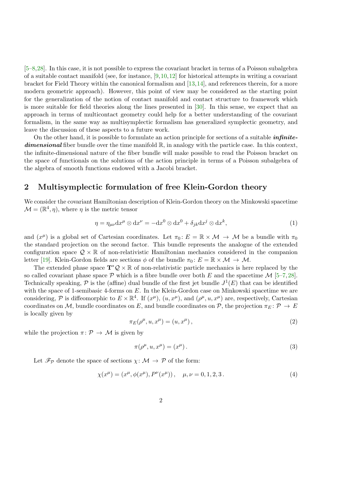<span id="page-1-1"></span>[\[5](#page-13-2)[–8,](#page-13-3)[28\]](#page-15-0). In this case, it is not possible to express the covariant bracket in terms of a Poisson subalgebra of a suitable contact manifold (see, for instance,  $[9,10,12]$  $[9,10,12]$  $[9,10,12]$  for historical attempts in writing a covariant bracket for Field Theory within the canonical formalism and [\[13,](#page-14-3)[14\]](#page-14-4), and references therein, for a more modern geometric approach). However, this point of view may be considered as the starting point for the generalization of the notion of contact manifold and contact structure to framework which is more suitable for field theories along the lines presented in [\[30\]](#page-15-1). In this sense, we expect that an approach in terms of multicontact geometry could help for a better understanding of the covariant formalism, in the same way as multisymplectic formalism has generalized symplectic geometry, and leave the discussion of these aspects to a future work.

On the other hand, it is possible to formulate an action principle for sections of a suitable *infinite***dimensional** fiber bundle over the time manifold  $\mathbb{R}$ , in analogy with the particle case. In this context, the infinite-dimensional nature of the fiber bundle will make possible to read the Poisson bracket on the space of functionals on the solutions of the action principle in terms of a Poisson subalgebra of the algebra of smooth functions endowed with a Jacobi bracket.

### <span id="page-1-0"></span>2 Multisymplectic formulation of free Klein-Gordon theory

We consider the covariant Hamiltonian description of Klein-Gordon theory on the Minkowski spacetime  $\mathcal{M} = (\mathbb{R}^4, \eta)$ , where  $\eta$  is the metric tensor

$$
\eta = \eta_{\mu\nu} dx^{\mu} \otimes dx^{\nu} = -dx^{0} \otimes dx^{0} + \delta_{jk} dx^{j} \otimes dx^{k}, \qquad (1)
$$

and  $(x^{\mu})$  is a global set of Cartesian coordinates. Let  $\pi_0: E = \mathbb{R} \times \mathcal{M} \to \mathcal{M}$  be a bundle with  $\pi_0$ the standard projection on the second factor. This bundle represents the analogue of the extended configuration space  $\mathcal{Q} \times \mathbb{R}$  of non-relativistic Hamiltonian mechanics considered in the companion letter [\[19\]](#page-14-0). Klein-Gordon fields are sections  $\phi$  of the bundle  $\pi_0: E = \mathbb{R} \times \mathcal{M} \to \mathcal{M}$ .

The extended phase space  $T^*Q \times \mathbb{R}$  of non-relativistic particle mechanics is here replaced by the so called covariant phase space  $\mathcal P$  which is a fibre bundle over both E and the spacetime  $\mathcal M$  [\[5–](#page-13-2)[7,](#page-13-6)[28\]](#page-15-0). Technically speaking,  $P$  is the (affine) dual bundle of the first jet bundle  $J^1(E)$  that can be identified with the space of 1-semibasic 4-forms on E. In the Klein-Gordon case on Minkowski spacetime we are considering, P is diffeomorphic to  $E \times \mathbb{R}^4$ . If  $(x^{\mu})$ ,  $(u, x^{\mu})$ , and  $(\rho^{\mu}, u, x^{\mu})$  are, respectively, Cartesian coordinates on M, bundle coordinates on E, and bundle coordinates on P, the projection  $\pi_E \colon \mathcal{P} \to E$ is locally given by

$$
\pi_E(\rho^\mu, u, x^\mu) = (u, x^\mu) \,, \tag{2}
$$

while the projection  $\pi: \mathcal{P} \to \mathcal{M}$  is given by

$$
\pi(\rho^{\mu}, u, x^{\mu}) = (x^{\mu}). \tag{3}
$$

Let  $\mathcal{F}_{\mathcal{P}}$  denote the space of sections  $\chi \colon \mathcal{M} \to \mathcal{P}$  of the form:

$$
\chi(x^{\mu}) = (x^{\mu}, \phi(x^{\mu}), P^{\nu}(x^{\mu})), \quad \mu, \nu = 0, 1, 2, 3. \tag{4}
$$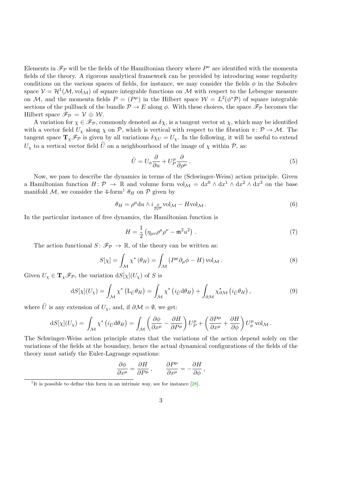<span id="page-2-2"></span>Elements in  $\mathscr{F}_{\mathcal{P}}$  will be the fields of the Hamiltonian theory where  $P^{\nu}$  are identified with the momenta fields of the theory. A rigorous analytical framework can be provided by introducing some regularity conditions on the various spaces of fields, for instance, we may consider the fields  $\phi$  in the Sobolev space  $V = H^1(\mathcal{M}, \text{vol}_{\mathcal{M}})$  of square integrable functions on  $\mathcal M$  with respect to the Lebesgue measure on M, and the momenta fields  $P = (P^{\mu})$  in the Hilbert space  $W = L^{2}(\phi^{*}\mathcal{P})$  of square integrable sections of the pullback of the bundle  $\mathcal{P} \to E$  along  $\phi$ . With these choices, the space  $\mathscr{F}_{\mathcal{P}}$  becomes the Hilbert space  $\mathscr{F}_{\mathcal{P}} = \mathcal{V} \oplus \mathcal{W}$ .

A variation for  $\chi \in \mathscr{F}_{\mathcal{P}}$ , commonly denoted as  $\delta \chi$ , is a tangent vector at  $\chi$ , which may be identified with a vector field  $U_{\chi}$  along  $\chi$  on  $\mathcal{P}$ , which is vertical with respect to the fibration  $\pi \colon \mathcal{P} \to \mathcal{M}$ . The tangent space  $\mathbf{T}_{\chi}\mathscr{F}_{\mathcal{P}}$  is given by all variations  $\delta\chi_U=U_{\chi}$ . In the following, it will be useful to extend  $U_{\gamma}$  to a vertical vector field U on a neighbourhood of the image of  $\chi$  within P, as:

$$
\tilde{U} = U_{\phi} \frac{\partial}{\partial u} + U_{P}^{\mu} \frac{\partial}{\partial \rho^{\mu}}.
$$
\n(5)

Now, we pass to describe the dynamics in terms of the (Schwinger-Weiss) action principle. Given a Hamiltonian function  $H: \mathcal{P} \to \mathbb{R}$  and volume form  $vol_{\mathcal{M}} = dx^0 \wedge dx^1 \wedge dx^2 \wedge dx^3$  on the base manifold  $\mathcal{M}$ , we consider the 4-form<sup>[1](#page-2-0)</sup>  $\theta_H$  on  $\mathcal{P}$  given by

$$
\theta_H = \rho^{\mu} \mathrm{d}u \wedge i \frac{\partial}{\partial x^{\mu}} \mathrm{vol}_{\mathcal{M}} - H \mathrm{vol}_{\mathcal{M}}.
$$
\n
$$
(6)
$$

In the particular instance of free dynamics, the Hamiltonian function is

<span id="page-2-1"></span>
$$
H = \frac{1}{2} \left( \eta_{\mu\nu} \rho^{\mu} \rho^{\nu} - \mathfrak{m}^2 u^2 \right) . \tag{7}
$$

The action functional  $S: \mathcal{F}_{\mathcal{P}} \to \mathbb{R}$ , of the theory can be written as:

$$
S[\chi] = \int_{\mathcal{M}} \chi^* \left( \theta_H \right) = \int_{\mathcal{M}} \left( P^{\mu} \partial_{\mu} \phi - H \right) \text{vol}_{\mathcal{M}} . \tag{8}
$$

Given  $U_{\chi} \in {\bf T}_{\chi} \mathscr{F}_{\mathcal{P}}$ , the variation  $dS[\chi](U_{\chi})$  of S is

$$
dS[\chi](U_{\chi}) = \int_{\mathcal{M}} \chi^* \left( L_{\tilde{U}} \theta_H \right) = \int_{\mathcal{M}} \chi^* \left( i_{\tilde{U}} d\theta_H \right) + \int_{\partial \mathcal{M}} \chi^*_{\partial \mathcal{M}} \left( i_{\tilde{U}} \theta_H \right), \tag{9}
$$

where  $\tilde{U}$  is any extension of  $U_{\chi}$ , and, if  $\partial \mathcal{M} = \emptyset$ , we get:

$$
dS[\chi](U_{\chi}) = \int_{\mathcal{M}} \chi^* \left( i_{\tilde{U}} d\theta_H \right) = \int_{\mathcal{M}} \left( \frac{\partial \phi}{\partial x^{\mu}} - \frac{\partial H}{\partial P^{\mu}} \right) U_P^{\mu} + \left( \frac{\partial P^{\mu}}{\partial x^{\mu}} + \frac{\partial H}{\partial \phi} \right) U_{\phi}^{\mu} \text{ vol}_{\mathcal{M}}.
$$

The Schwinger-Weiss action principle states that the variations of the action depend solely on the variations of the fields at the boundary, hence the actual dynamical configurations of the fields of the theory must satisfy the Euler-Lagrange equations:

$$
\frac{\partial \phi}{\partial x^{\mu}} = \frac{\partial H}{\partial P^{\mu}} , \qquad \frac{\partial P^{\mu}}{\partial x^{\mu}} = -\frac{\partial H}{\partial \phi} ,
$$

<span id="page-2-0"></span><sup>&</sup>lt;sup>1</sup>It is possible to define this form in an intrinsic way, see for instance  $[28]$ .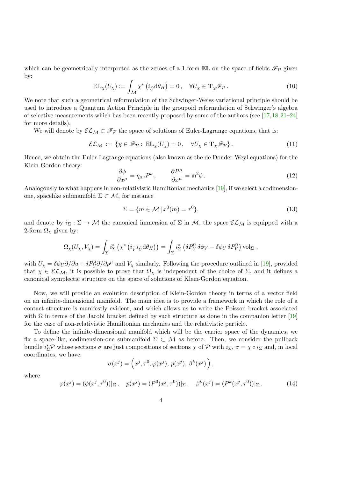<span id="page-3-1"></span>which can be geometrically interpreted as the zeroes of a 1-form  $\mathbb{EL}$  on the space of fields  $\mathscr{F}_{\mathcal{P}}$  given by:

$$
\mathbb{EL}_{\chi}(U_{\chi}) := \int_{\mathcal{M}} \chi^* \left( i_{\tilde{U}} d\theta_H \right) = 0, \quad \forall U_{\chi} \in \mathbf{T}_{\chi} \mathscr{F}_{\mathcal{P}}.
$$
 (10)

We note that such a geometrical reformulation of the Schwinger-Weiss variational principle should be used to introduce a Quantum Action Principle in the groupoid reformulation of Schwinger's algebra of selective measurements which has been recently proposed by some of the authors (see [\[17,](#page-14-5)[18,](#page-14-6)[21–](#page-14-7)[24\]](#page-14-8) for more details).

We will denote by  $\mathcal{EL}_{\mathcal{M}} \subset \mathcal{F}_{\mathcal{P}}$  the space of solutions of Euler-Lagrange equations, that is:

$$
\mathcal{EL}_{\mathcal{M}} := \{ \chi \in \mathscr{F}_{\mathcal{P}} : \mathbb{EL}_{\chi}(U_{\chi}) = 0, \quad \forall U_{\chi} \in \mathbf{T}_{\chi} \mathscr{F}_{\mathcal{P}} \}.
$$
\n(11)

Hence, we obtain the Euler-Lagrange equations (also known as the de Donder-Weyl equations) for the Klein-Gordon theory:

$$
\frac{\partial \phi}{\partial x^{\mu}} = \eta_{\mu\nu} P^{\nu}, \qquad \frac{\partial P^{\mu}}{\partial x^{\mu}} = \mathfrak{m}^2 \phi \,.
$$
 (12)

Analogously to what happens in non-relativistic Hamiltonian mechanics [\[19\]](#page-14-0), if we select a codimensionone, spacelike submanifold  $\Sigma \subset \mathcal{M}$ , for instance

$$
\Sigma = \{ m \in \mathcal{M} \mid x^0(m) = \tau^0 \},\tag{13}
$$

and denote by  $i_{\Sigma} : \Sigma \to M$  the canonical immersion of  $\Sigma$  in M, the space  $\mathcal{EL}_M$  is equipped with a 2-form  $\Omega_{\chi}$  given by:

<span id="page-3-0"></span>
$$
\Omega_{\chi}(U_{\chi}, V_{\chi}) = \int_{\Sigma} i_{\Sigma}^{*} \left( \chi^{*} \left( i_{\tilde{V}} i_{\tilde{U}} d\theta_{H} \right) \right) = \int_{\Sigma} i_{\Sigma}^{*} \left( \delta P_{U}^{0} \delta\phi_{V} - \delta\phi_{U} \delta P_{V}^{0} \right) \mathrm{vol}_{\Sigma} ,
$$

with  $U_\chi = \delta \phi_U \partial/\partial u + \delta P_U^{\mu} \partial/\partial \rho^{\mu}$  and  $V_\chi$  similarly. Following the procedure outlined in [\[19\]](#page-14-0), provided that  $\chi \in \mathcal{EL}_\mathcal{M}$ , it is possible to prove that  $\Omega_\chi$  is independent of the choice of  $\Sigma$ , and it defines a canonical symplectic structure on the space of solutions of Klein-Gordon equation.

Now, we will provide an evolution description of Klein-Gordon theory in terms of a vector field on an infinite-dimensional manifold. The main idea is to provide a framework in which the role of a contact structure is manifestly evident, and which allows us to write the Poisson bracket associated with  $\Omega$  in terms of the Jacobi bracket defined by such structure as done in the companion letter [\[19\]](#page-14-0) for the case of non-relativistic Hamiltonian mechanics and the relativistic particle.

To define the infinite-dimensional manifold which will be the carrier space of the dynamics, we fix a space-like, codimension-one submanifold  $\Sigma \subset \mathcal{M}$  as before. Then, we consider the pullback bundle  $i_{\Sigma}^*\mathcal{P}$  whose sections  $\sigma$  are just compositions of sections  $\chi$  of  $\mathcal{P}$  with  $i_{\Sigma}$ ,  $\sigma = \chi \circ i_{\Sigma}$  and, in local coordinates, we have:

$$
\sigma(x^j) = \left(x^j, \tau^0, \varphi(x^j), p(x^j), \beta^k(x^j)\right),
$$

where

$$
\varphi(x^j) = (\phi(x^j, \tau^0))|_{\Sigma}, \quad p(x^j) = (P^0(x^j, \tau^0))|_{\Sigma}, \quad \beta^k(x^j) = (P^k(x^j, \tau^0))|_{\Sigma}.
$$
 (14)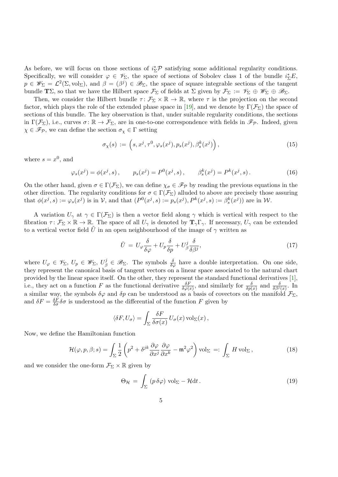<span id="page-4-1"></span>As before, we will focus on those sections of  $i_{\Sigma}^{*}\mathcal{P}$  satisfying some additional regularity conditions. Specifically, we will consider  $\varphi \in \mathscr{V}_{\Sigma}$ , the space of sections of Sobolev class 1 of the bundle  $i_{\Sigma}^{*}E$ ,  $p \in \mathscr{W}_{\Sigma} = \mathcal{L}^2(\Sigma, \mathrm{vol}_{\Sigma}),$  and  $\beta = (\beta^j) \in \mathscr{B}_{\Sigma}$ , the space of square integrable sections of the tangent bundle TΣ, so that we have the Hilbert space  $\mathcal{F}_{\Sigma}$  of fields at  $\Sigma$  given by  $\mathcal{F}_{\Sigma} := \mathscr{V}_{\Sigma} \oplus \mathscr{W}_{\Sigma} \oplus \mathscr{B}_{\Sigma}$ .

Then, we consider the Hilbert bundle  $\tau: \mathcal{F}_{\Sigma} \times \mathbb{R} \to \mathbb{R}$ , where  $\tau$  is the projection on the second factor, which plays the role of the extended phase space in [\[19\]](#page-14-0), and we denote by  $\Gamma(\mathcal{F}_{\Sigma})$  the space of sections of this bundle. The key observation is that, under suitable regularity conditions, the sections in  $\Gamma(\mathcal{F}_{\Sigma})$ , i.e., curves  $\sigma \colon \mathbb{R} \to \mathcal{F}_{\Sigma}$ , are in one-to-one correspondence with fields in  $\mathscr{F}_{\mathcal{P}}$ . Indeed, given  $\chi\in\mathscr{F}_{\mathcal{P}},$  we can define the section  $\sigma_{\chi}\in\Gamma$  setting

$$
\sigma_{\chi}(s) := \left(s, x^j, \tau^0, \varphi_s(x^j), p_s(x^j), \beta_s^k(x^j)\right),\tag{15}
$$

where  $s = x^0$ , and

$$
\varphi_s(x^j) = \phi(x^j, s), \qquad p_s(x^j) = P^0(x^j, s), \qquad \beta_s^k(x^j) = P^k(x^j, s).
$$
\n(16)

On the other hand, given  $\sigma \in \Gamma(\mathcal{F}_{\Sigma})$ , we can define  $\chi_{\sigma} \in \mathscr{F}_{\mathcal{P}}$  by reading the previous equations in the other direction. The regularity conditions for  $\sigma \in \Gamma(\mathcal{F}_{\Sigma})$  alluded to above are precisely those assuring that  $\phi(x^j, s) := \varphi_s(x^j)$  is in V, and that  $(P^0(x^j, s) := p_s(x^j), P^k(x^j, s) := \beta_s^k(x^j))$  are in W.

A variation  $U_{\gamma}$  at  $\gamma \in \Gamma(\mathcal{F}_{\Sigma})$  is then a vector field along  $\gamma$  which is vertical with respect to the fibration  $\tau: \mathcal{F}_{\Sigma} \times \mathbb{R} \to \mathbb{R}$ . The space of all  $U_{\gamma}$  is denoted by  $\mathbf{T}_{\gamma} \Gamma_{\gamma}$ . If necessary,  $U_{\gamma}$  can be extended to a vertical vector field U in an open neighbourhood of the image of  $\gamma$  written as

$$
\tilde{U} = U_{\varphi} \frac{\delta}{\delta \varphi} + U_p \frac{\delta}{\delta p} + U_{\beta}^j \frac{\delta}{\delta \beta^j},\tag{17}
$$

where  $U_{\varphi} \in \mathscr{V}_{\Sigma}, U_{p} \in \mathscr{W}_{\Sigma}, U_{\beta}^{j} \in \mathscr{B}_{\Sigma}$ . The symbols  $\frac{\delta}{\delta \varphi}$  have a double interpretation. On one side, they represent the canonical basis of tangent vectors on a linear space associated to the natural chart provided by the linear space itself. On the other, they represent the standard functional derivatives [\[1\]](#page-13-7), i.e., they act on a function F as the functional derivative  $\frac{\delta F}{\delta \varphi(x)}$ , and similarly for  $\frac{\delta}{\delta p(x)}$  and  $\frac{\delta}{\delta \beta^j(x)}$ . In a similar way, the symbols  $\delta\varphi$  and  $\delta p$  can be understood as a basis of covectors on the manifold  $\mathcal{F}_{\Sigma}$ , and  $\delta F = \frac{\delta F}{\delta \sigma} \delta \sigma$  is understood as the differential of the function F given by

$$
\langle \delta F, U_{\sigma} \rangle = \int_{\Sigma} \frac{\delta F}{\delta \sigma(x)} U_{\sigma}(x) \operatorname{vol}_{\Sigma}(x),
$$

Now, we define the Hamiltonian function

$$
\mathcal{H}(\varphi, p, \beta; s) = \int_{\Sigma} \frac{1}{2} \left( p^2 + \delta^{jk} \frac{\partial \varphi}{\partial x^j} \frac{\partial \varphi}{\partial x^k} - \mathfrak{m}^2 \varphi^2 \right) \text{vol}_{\Sigma} =: \int_{\Sigma} H \text{ vol}_{\Sigma}, \tag{18}
$$

and we consider the one-form  $\mathcal{F}_{\Sigma} \times \mathbb{R}$  given by

<span id="page-4-0"></span>
$$
\Theta_{\mathcal{H}} = \int_{\Sigma} \left( p \,\delta \varphi \right) \,\text{vol}_{\Sigma} - \mathcal{H} \mathrm{d}t \,. \tag{19}
$$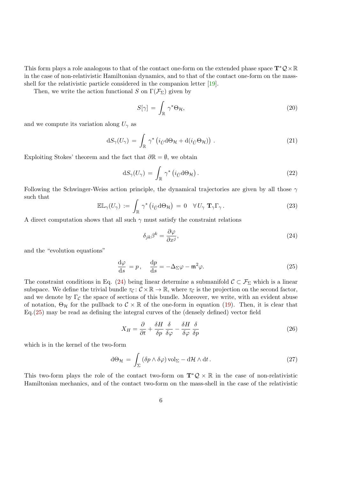<span id="page-5-2"></span>This form plays a role analogous to that of the contact one-form on the extended phase space  $T^*Q \times \mathbb{R}$ in the case of non-relativistic Hamiltonian dynamics, and to that of the contact one-form on the massshell for the relativistic particle considered in the companion letter [\[19\]](#page-14-0).

Then, we write the action functional S on  $\Gamma(\mathcal{F}_{\Sigma})$  given by

$$
S[\gamma] = \int_{\mathbb{R}} \gamma^* \Theta_{\mathcal{H}}, \tag{20}
$$

and we compute its variation along  $U_{\gamma}$  as

$$
dS_{\gamma}(U_{\gamma}) = \int_{\mathbb{R}} \gamma^* \left( i_{\tilde{U}} d\Theta_{\mathcal{H}} + d(i_{\tilde{U}} \Theta_{\mathcal{H}}) \right) . \tag{21}
$$

Exploiting Stokes' theorem and the fact that  $\partial \mathbb{R} = \emptyset$ , we obtain

$$
dS_{\gamma}(U_{\gamma}) = \int_{\mathbb{R}} \gamma^* \left( i_{\tilde{U}} d\Theta_{\mathcal{H}} \right).
$$
 (22)

Following the Schwinger-Weiss action principle, the dynamical trajectories are given by all those  $\gamma$ such that

$$
\mathbb{EL}_{\gamma}(U_{\gamma}) := \int_{\mathbb{R}} \gamma^* \left( i_{\tilde{U}} d\Theta_{\mathcal{H}} \right) = 0 \quad \forall U_{\gamma} \mathbf{T}_{\gamma} \Gamma_{\gamma} . \tag{23}
$$

A direct computation shows that all such  $\gamma$  must satisfy the constraint relations

<span id="page-5-0"></span>
$$
\delta_{jk}\beta^k = \frac{\partial\varphi}{\partial x^j},\tag{24}
$$

and the "evolution equations"

<span id="page-5-1"></span>
$$
\frac{\mathrm{d}\varphi}{\mathrm{d}s} = p, \quad \frac{\mathrm{d}p}{\mathrm{d}s} = -\Delta_{\Sigma}\varphi - \mathfrak{m}^2\varphi. \tag{25}
$$

The constraint conditions in Eq. [\(24\)](#page-5-0) being linear determine a submanifold  $\mathcal{C} \subset \mathcal{F}_{\Sigma}$  which is a linear subspace. We define the trivial bundle  $\tau_{\mathcal{C}} : \mathcal{C} \times \mathbb{R} \to \mathbb{R}$ , where  $\tau_{\mathcal{C}}$  is the projection on the second factor, and we denote by  $\Gamma_{\mathcal{C}}$  the space of sections of this bundle. Moreover, we write, with an evident abuse of notation,  $\Theta_{\mathcal{H}}$  for the pullback to  $\mathcal{C} \times \mathbb{R}$  of the one-form in equation [\(19\)](#page-4-0). Then, it is clear that Eq.[\(25\)](#page-5-1) may be read as defining the integral curves of the (densely defined) vector field

$$
X_H = \frac{\partial}{\partial t} + \frac{\delta H}{\delta p} \frac{\delta}{\delta \varphi} - \frac{\delta H}{\delta \varphi} \frac{\delta}{\delta p}
$$
\n
$$
\tag{26}
$$

which is in the kernel of the two-form

$$
d\Theta_{\mathcal{H}} = \int_{\Sigma} (\delta p \wedge \delta \varphi) \operatorname{vol}_{\Sigma} - d\mathcal{H} \wedge dt. \qquad (27)
$$

This two-form plays the role of the contact two-form on  $\mathbf{T}^*\mathcal{Q} \times \mathbb{R}$  in the case of non-relativistic Hamiltonian mechanics, and of the contact two-form on the mass-shell in the case of the relativistic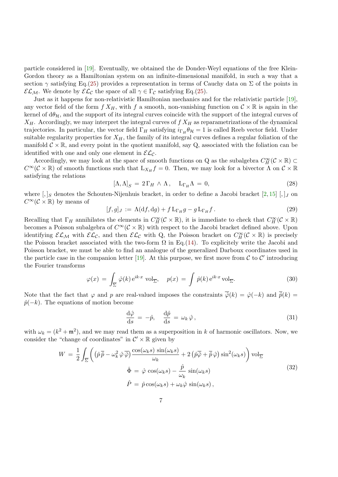<span id="page-6-0"></span>particle considered in [\[19\]](#page-14-0). Eventually, we obtained the de Donder-Weyl equations of the free Klein-Gordon theory as a Hamiltonian system on an infinite-dimensional manifold, in such a way that a section  $\gamma$  satisfying Eq.[\(25\)](#page-5-1) provides a representation in terms of Cauchy data on  $\Sigma$  of the points in  $\mathcal{EL}_{\mathcal{M}}$ . We denote by  $\mathcal{EL}_{\mathcal{C}}$  the space of all  $\gamma \in \Gamma_{\mathcal{C}}$  satisfying Eq.[\(25\)](#page-5-1).

Just as it happens for non-relativistic Hamiltonian mechanics and for the relativistic particle [\[19\]](#page-14-0), any vector field of the form  $f X_H$ , with f a smooth, non-vanishing function on  $\mathcal{C} \times \mathbb{R}$  is again in the kernel of  $d\theta_{\mathcal{H}}$ , and the support of its integral curves coincide with the support of the integral curves of  $X_H$ . Accordingly, we may interpret the integral curves of  $f X_H$  as reparametrizations of the dynamical trajectories. In particular, the vector field  $\Gamma_H$  satisfying  $i_{\Gamma_H} \theta_{\mathcal{H}} = 1$  is called Reeb vector field. Under suitable regularity properties for  $X_H$ , the family of its integral curves defines a regular foliation of the manifold  $\mathcal{C} \times \mathbb{R}$ , and every point in the quotient manifold, say Q, associated with the foliation can be identified with one and only one element in  $\mathcal{EL}_{\mathcal{C}}$ .

Accordingly, we may look at the space of smooth functions on Q as the subalgebra  $C_H^{\infty}(\mathcal{C} \times \mathbb{R}) \subset$  $C^{\infty}(\mathcal{C} \times \mathbb{R})$  of smooth functions such that  $L_{X_H} f = 0$ . Then, we may look for a bivector  $\Lambda$  on  $\mathcal{C} \times \mathbb{R}$ satisfying the relations

$$
[\Lambda, \Lambda]_S = 2\Gamma_H \wedge \Lambda, \quad L_{\Gamma_H} \Lambda = 0,
$$
\n(28)

where  $[,]_S$  denotes the Schouten-Nijenhuis bracket, in order to define a Jacobi bracket [\[2,](#page-13-0)[15\]](#page-14-1) [,  $]_J$  on  $C^{\infty}(\mathcal{C} \times \mathbb{R})$  by means of

$$
[f,g]_J := \Lambda(df, dg) + f L_{\Gamma_H}g - g L_{\Gamma_H}f. \tag{29}
$$

Recalling that  $\Gamma_H$  annihilates the elements in  $C_H^{\infty}(\mathcal{C} \times \mathbb{R})$ , it is immediate to check that  $C_H^{\infty}(\mathcal{C} \times \mathbb{R})$ becomes a Poisson subalgebra of  $C^{\infty}(\mathcal{C} \times \mathbb{R})$  with respect to the Jacobi bracket defined above. Upon identifying  $\mathcal{EL}_{\mathcal{M}}$  with  $\mathcal{EL}_{\mathcal{C}}$ , and then  $\mathcal{EL}_{\mathcal{C}}$  with Q, the Poisson bracket on  $C_H^{\infty}(\mathcal{C}\times\mathbb{R})$  is precisely the Poisson bracket associated with the two-form  $\Omega$  in Eq.[\(14\)](#page-3-0). To explicitely write the Jacobi and Poisson bracket, we must be able to find an analogue of the generalized Darboux coordinates used in the particle case in the companion letter [\[19\]](#page-14-0). At this purpose, we first move from  $\mathcal C$  to  $\mathcal C'$  introducing the Fourier transforms

$$
\varphi(x) = \int_{\overline{\Sigma}} \hat{\varphi}(k) e^{ik \cdot x} \operatorname{vol}_{\overline{\Sigma}}, \quad p(x) = \int \hat{p}(k) e^{ik \cdot x} \operatorname{vol}_{\overline{\Sigma}}.
$$
 (30)

Note that the fact that  $\varphi$  and p are real-valued imposes the constraints  $\overline{\hat{\varphi}}(k) = \hat{\varphi}(-k)$  and  $\overline{\hat{p}}(k) =$  $\hat{p}(-k)$ . The equations of motion become

$$
\frac{\mathrm{d}\hat{\varphi}}{\mathrm{d}s} = -\hat{p}, \quad \frac{\mathrm{d}\hat{p}}{\mathrm{d}s} = \omega_k \,\hat{\varphi}, \tag{31}
$$

with  $\omega_k = (k^2 + \mathfrak{m}^2)$ , and we may read them as a superposition in k of harmonic oscillators. Now, we consider the "change of coordinates" in  $\mathcal{C}' \times \mathbb{R}$  given by

$$
W = \frac{1}{2} \int_{\overline{\Sigma}} \left( (\hat{p}\,\overline{\hat{p}} - \omega_k^2 \,\hat{\varphi}\,\overline{\hat{\varphi}}) \frac{\cos(\omega_k s) \sin(\omega_k s)}{\omega_k} + 2 \left( \hat{p}\,\overline{\hat{\varphi}} + \overline{\hat{p}} \,\hat{\varphi} \right) \sin^2(\omega_k s) \right) \text{vol}_{\overline{\Sigma}}
$$
  

$$
\hat{\Phi} = \hat{\varphi} \cos(\omega_k s) - \frac{\hat{p}}{\omega_k} \sin(\omega_k s)
$$
  

$$
\hat{P} = \hat{p} \cos(\omega_k s) + \omega_k \hat{\varphi} \sin(\omega_k s),
$$
\n(32)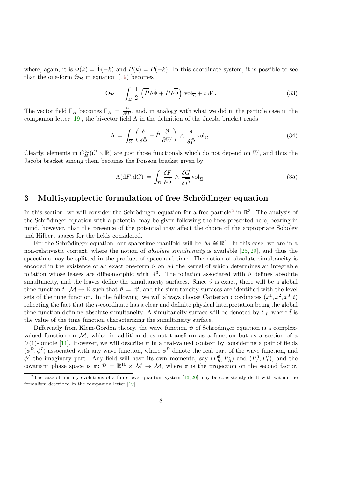<span id="page-7-1"></span>where, again, it is  $\overline{\hat{\Phi}}(k) = \hat{\Phi}(-k)$  and  $\overline{\hat{P}}(k) = \hat{P}(-k)$ . In this coordinate system, it is possible to see that the one-form  $\Theta_{\mathcal{H}}$  in equation [\(19\)](#page-4-0) becomes

$$
\Theta_{\mathcal{H}} = \int_{\overline{\Sigma}} \frac{1}{2} \left( \overline{\hat{P}} \, \delta \hat{\Phi} + \hat{P} \, \delta \overline{\hat{\Phi}} \right) \operatorname{vol}_{\overline{\Sigma}} + dW \,. \tag{33}
$$

The vector field  $\Gamma_H$  becomes  $\Gamma_H = \frac{\partial}{\partial W}$ , and, in analogy with what we did in the particle case in the companion letter [\[19\]](#page-14-0), the bivector field  $\Lambda$  in the definition of the Jacobi bracket reads

$$
\Lambda = \int_{\overline{\Sigma}} \left( \frac{\delta}{\delta \hat{\Phi}} - \hat{P} \frac{\partial}{\partial W} \right) \wedge \frac{\delta}{\delta \overline{\hat{P}}} \operatorname{vol}_{\overline{\Sigma}}.
$$
 (34)

Clearly, elements in  $C_H^{\infty}(\mathcal{C}' \times \mathbb{R})$  are just those functionals which do not depend on W, and thus the Jacobi bracket among them becomes the Poisson bracket given by

$$
\Lambda(\mathrm{d}F, \mathrm{d}G) = \int_{\overline{\Sigma}} \frac{\delta F}{\delta \hat{\Phi}} \wedge \frac{\delta G}{\delta \overline{\hat{P}}} \mathrm{vol}_{\overline{\Sigma}}.
$$
\n(35)

# 3 Multisymplectic formulation of free Schrödinger equation

In this section, we will consider the Schrödinger equation for a free particle<sup>[2](#page-7-0)</sup> in  $\mathbb{R}^3$ . The analysis of the Schrödinger equation with a potential may be given following the lines presented here, bearing in mind, however, that the presence of the potential may affect the choice of the appropriate Sobolev and Hilbert spaces for the fields considered.

For the Schrödinger equation, our spacetime manifold will be  $\mathcal{M} \cong \mathbb{R}^4$ . In this case, we are in a non-relativistic context, where the notion of absolute simultaneity is available [\[25,](#page-15-2) [29\]](#page-15-3), and thus the spacetime may be splitted in the product of space and time. The notion of absolute simultaneity is encoded in the existence of an exact one-form  $\vartheta$  on  $\mathcal M$  the kernel of which determines an integrable foliation whose leaves are diffeomorphic with  $\mathbb{R}^3$ . The foliation associated with  $\vartheta$  defines absolute simultaneity, and the leaves define the simultaneity surfaces. Since  $\vartheta$  is exact, there will be a global time function  $t: \mathcal{M} \to \mathbb{R}$  such that  $\vartheta = dt$ , and the simultaneity surfaces are identified with the level sets of the time function. In the following, we will always choose Cartesian coordinates  $(x^1, x^2, x^3, t)$ reflecting the fact that the t-coordinate has a clear and definite physical interpretation being the global time function defining absolute simultaneity. A simultaneity surface will be denoted by  $\Sigma_{\bar{t}}$ , where  $\bar{t}$  is the value of the time function characterizing the simultaneity surface.

Differently from Klein-Gordon theory, the wave function  $\psi$  of Schrödinger equation is a complexvalued function on  $M$ , which in addition does not transform as a function but as a section of a U(1)-bundle [\[11\]](#page-13-8). However, we will describe  $\psi$  in a real-valued context by considering a pair of fields  $(\phi^R, \phi^I)$  associated with any wave function, where  $\phi^R$  denote the real part of the wave function, and  $\phi^I$  the imaginary part. Any field will have its own momenta, say  $(P_R^0, P_R^j)$  and  $(P_I^0, P_I^j)$ , and the covariant phase space is  $\pi: \mathcal{P} = \mathbb{R}^{10} \times \mathcal{M} \to \mathcal{M}$ , where  $\pi$  is the projection on the second factor,

<span id="page-7-0"></span><sup>&</sup>lt;sup>2</sup>The case of unitary evolutions of a finite-level quantum system  $[16, 20]$  $[16, 20]$  $[16, 20]$  may be consistently dealt with within the formalism described in the companion letter [\[19\]](#page-14-0).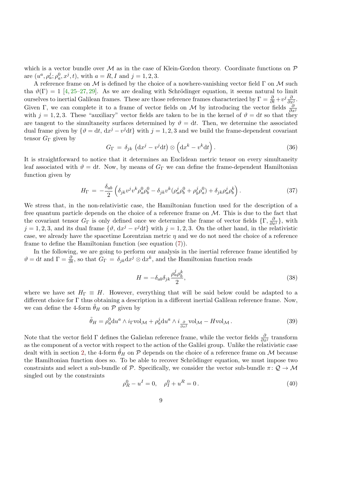<span id="page-8-1"></span>which is a vector bundle over  $M$  as in the case of Klein-Gordon theory. Coordinate functions on  $P$ are  $(u^a, \rho_a^j; \rho_a^0, x^j, t)$ , with  $a = R, I$  and  $j = 1, 2, 3$ .

A reference frame on  $\mathcal M$  is defined by the choice of a nowhere-vanishing vector field  $\Gamma$  on  $\mathcal M$  such tha  $\vartheta(\Gamma) = 1$  [\[4,](#page-13-9) [25–](#page-15-2)[27,](#page-15-4) [29\]](#page-15-3). As we are dealing with Schrödinger equation, it seems natural to limit ourselves to inertial Galilean frames. These are those reference frames characterized by  $\Gamma = \frac{\partial}{\partial t} + v^j \frac{\partial}{\partial x^j}$ . Given Γ, we can complete it to a frame of vector fields on M by introducing the vector fields  $\frac{\partial}{\partial x^j}$ with  $j = 1, 2, 3$ . These "auxiliary" vector fields are taken to be in the kernel of  $\vartheta = dt$  so that they are tangent to the simultaneity surfaces determined by  $\vartheta = dt$ . Then, we determine the associated dual frame given by  $\{\vartheta = dt, dx^j - v^j dt\}$  with  $j = 1, 2, 3$  and we build the frame-dependent covariant tensor  $G_{\Gamma}$  given by

$$
G_{\Gamma} = \delta_{jk} \left( \mathrm{d}x^{j} - v^{j} \mathrm{d}t \right) \otimes \left( \mathrm{d}x^{k} - v^{k} \mathrm{d}t \right). \tag{36}
$$

It is straightforward to notice that it determines an Euclidean metric tensor on every simultaneity leaf associated with  $\vartheta = dt$ . Now, by means of  $G_{\Gamma}$  we can define the frame-dependent Hamiltonian function given by

$$
H_{\Gamma} = -\frac{\delta_{ab}}{2} \left( \delta_{jk} v^{j} v^{k} \rho_{a}^{0} \rho_{b}^{0} - \delta_{jk} v^{k} (\rho_{a}^{j} \rho_{b}^{0} + \rho_{b}^{j} \rho_{a}^{0}) + \delta_{jk} \rho_{a}^{j} \rho_{b}^{k} \right). \tag{37}
$$

We stress that, in the non-relativistic case, the Hamiltonian function used for the description of a free quantum particle depends on the choice of a reference frame on  $M$ . This is due to the fact that the covariant tensor  $G_{\Gamma}$  is only defined once we determine the frame of vector fields  $\{\Gamma, \frac{\partial}{\partial x^j}\}\,$  with  $j = 1, 2, 3$ , and its dual frame  $\{\vartheta, dx^j - v^j dt\}$  with  $j = 1, 2, 3$ . On the other hand, in the relativistic case, we already have the spacetime Lorentzian metric  $\eta$  and we do not need the choice of a reference frame to define the Hamiltonian function (see equation [\(7\)](#page-2-1)).

In the following, we are going to perform our analysis in the inertial reference frame identified by  $\vartheta = dt$  and  $\Gamma = \frac{\partial}{\partial t}$ , so that  $G_{\Gamma} = \delta_{jk} dx^{j} \otimes dx^{k}$ , and the Hamiltonian function reads

$$
H = -\delta_{ab}\delta_{jk}\frac{\rho_a^j \rho_b^k}{2},\tag{38}
$$

where we have set  $H_{\Gamma} \equiv H$ . However, everything that will be said below could be adapted to a different choice for Γ thus obtaining a description in a different inertial Galilean reference frame. Now, we can define the 4-form  $\tilde{\theta}_H$  on  $\mathcal P$  given by

<span id="page-8-0"></span>
$$
\tilde{\theta}_H = \rho_a^0 \mathrm{d}u^a \wedge i_{\Gamma} \mathrm{vol}_{\mathcal{M}} + \rho_a^j \mathrm{d}u^a \wedge i_{\frac{\partial}{\partial x^j}} \mathrm{vol}_{\mathcal{M}} - H \mathrm{vol}_{\mathcal{M}}.
$$
\n(39)

Note that the vector field  $\Gamma$  defines the Galielan reference frame, while the vector fields  $\frac{\partial}{\partial x^j}$  transform as the component of a vector with respect to the action of the Galilei group. Unlike the relativistic case dealt with in section [2,](#page-1-0) the 4-form  $\hat{\theta}_H$  on  $\mathcal P$  depends on the choice of a reference frame on M because the Hamiltonian function does so. To be able to recover Schrödinger equation, we must impose two constraints and select a sub-bundle of P. Specifically, we consider the vector sub-bundle  $\pi: \mathcal{Q} \to \mathcal{M}$ singled out by the constraints

$$
\rho_R^0 - u^I = 0, \quad \rho_I^0 + u^R = 0. \tag{40}
$$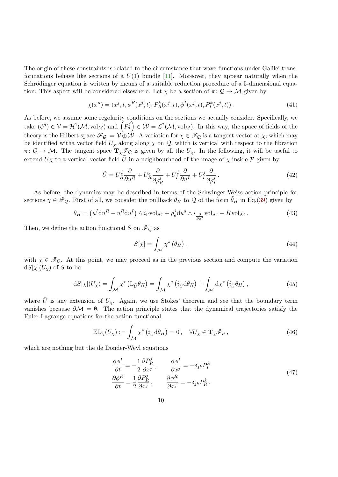<span id="page-9-1"></span>The origin of these constraints is related to the circumstance that wave-functions under Galilei transformations behave like sections of a  $U(1)$  bundle [\[11\]](#page-13-8). Moreover, they appear naturally when the Schrödinger equation is written by means of a suitable reduction procedure of a 5-dimensional equation. This aspect will be considered elsewhere. Let  $\chi$  be a section of  $\pi: \mathcal{Q} \to \mathcal{M}$  given by

$$
\chi(x^{\mu}) = (x^{j}, t, \phi^{R}(x^{j}, t), P_{R}^{k}(x^{j}, t), \phi^{I}(x^{j}, t), P_{I}^{k}(x^{j}, t)).
$$
\n(41)

As before, we assume some regolarity conditions on the sections we actually consider. Specifically, we take  $(\phi^a) \in \mathcal{V} = \mathcal{H}^1(\mathcal{M}, \mathrm{vol}_M)$  and  $\left(P_a^j\right) \in \mathcal{W} = \mathcal{L}^2(\mathcal{M}, \mathrm{vol}_M)$ . In this way, the space of fields of the theory is the Hilbert space  $\mathscr{F}_{\mathcal{Q}} = \mathcal{V} \oplus \mathcal{W}$ . A variation for  $\chi \in \mathscr{F}_{\mathcal{Q}}$  is a tangent vector at  $\chi$ , which may be identified witha vector field  $U_{\chi}$  along along  $\chi$  on  $\mathcal{Q}$ , which is vertical with respect to the fibration  $\pi: \mathcal{Q} \to \mathcal{M}$ . The tangent space  $\mathbf{T}_{\chi} \mathcal{F}_{\mathcal{Q}}$  is given by all the  $U_{\chi}$ . In the following, it will be useful to extend  $U\chi$  to a vertical vector field U in a neighbourhood of the image of  $\chi$  inside P given by

$$
\tilde{U} = U_R^{\phi} \frac{\partial}{\partial u^R} + U_R^j \frac{\partial}{\partial \rho_R^j} + U_I^{\phi} \frac{\partial}{\partial u^I} + U_I^j \frac{\partial}{\partial \rho_I^j}.
$$
\n(42)

As before, the dynamics may be described in terms of the Schwinger-Weiss action principle for sections  $\chi \in \mathscr{F}_{\mathcal{Q}}$ . First of all, we consider the pullback  $\theta_H$  to  $\mathcal Q$  of the form  $\theta_H$  in Eq.[\(39\)](#page-8-0) given by

$$
\theta_H = \left( u^I \mathrm{d}u^R - u^R \mathrm{d}u^I \right) \wedge i_{\Gamma} \mathrm{vol}_{\mathcal{M}} + \rho_a^j \mathrm{d}u^a \wedge i_{\frac{\partial}{\partial x^j}} \mathrm{vol}_{\mathcal{M}} - H \mathrm{vol}_{\mathcal{M}} \,. \tag{43}
$$

Then, we define the action functional S on  $\mathscr{F}_{\mathcal{Q}}$  as

$$
S[\chi] = \int_{\mathcal{M}} \chi^* \left( \theta_H \right) \,, \tag{44}
$$

with  $\chi \in \mathscr{F}_{\mathcal{Q}}$ . At this point, we may proceed as in the previous section and compute the variation  $dS[\chi](U_{\chi})$  of S to be

$$
dS[\chi](U_{\chi}) = \int_{\mathcal{M}} \chi^* \left( L_{\tilde{U}} \theta_H \right) = \int_{\mathcal{M}} \chi^* \left( i_{\tilde{U}} d\theta_H \right) + \int_{\mathcal{M}} d\chi^* \left( i_{\tilde{U}} \theta_H \right), \tag{45}
$$

where U is any extension of  $U_{\chi}$ . Again, we use Stokes' theorem and see that the boundary term vanishes because  $\partial M = \emptyset$ . The action principle states that the dynamical trajectories satisfy the Euler-Lagrange equations for the action functional

$$
\mathbb{EL}_{\chi}(U_{\chi}) := \int_{\mathcal{M}} \chi^* \left( i_{\tilde{U}} d\theta_H \right) = 0, \quad \forall U_{\chi} \in \mathbf{T}_{\chi} \mathscr{F}_{\mathcal{P}}, \tag{46}
$$

<span id="page-9-0"></span>which are nothing but the de Donder-Weyl equations

$$
\frac{\partial \phi^I}{\partial t} = -\frac{1}{2} \frac{\partial P_R^j}{\partial x^j}, \qquad \frac{\partial \phi^I}{\partial x^j} = -\delta_{jk} P_I^k
$$
\n
$$
\frac{\partial \phi^R}{\partial t} = \frac{1}{2} \frac{\partial P_R^j}{\partial x^j}, \qquad \frac{\partial \phi^R}{\partial x^j} = -\delta_{jk} P_R^k.
$$
\n(47)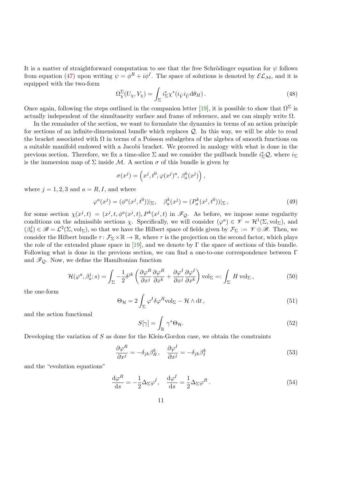<span id="page-10-4"></span>It is a matter of straightforward computation to see that the free Schrödinger equation for  $\psi$  follows from equation [\(47\)](#page-9-0) upon writing  $\psi = \phi^R + i\phi^I$ . The space of solutions is denoted by  $\mathcal{EL}_\mathcal{M}$ , and it is equipped with the two-form

<span id="page-10-3"></span>
$$
\Omega^{\Sigma}_{\chi}(U_{\chi}, V_{\chi}) = \int_{\Sigma} i_{\Sigma}^{*} \chi^{*}(i_{\tilde{V}} i_{\tilde{U}} d\theta_{H}). \tag{48}
$$

Once again, following the steps outlined in the companion letter [\[19\]](#page-14-0), it is possible to show that  $\Omega^{\Sigma}$  is actually independent of the simultaneity surface and frame of reference, and we can simply write  $\Omega$ .

In the remainder of the section, we want to formulate the dynamics in terms of an action principle for sections of an infinite-dimensional bundle which replaces Q. In this way, we will be able to read the bracket associated with  $\Omega$  in terms of a Poisson subalgebra of the algebra of smooth functions on a suitable manifold endowed with a Jacobi bracket. We proceed in analogy with what is done in the previous section. Therefore, we fix a time-slice  $\Sigma$  and we consider the pullback bundle  $i_{\Sigma}^*\mathcal{Q}$ , where  $i_{\Sigma}$ is the immersion map of  $\Sigma$  inside M. A section  $\sigma$  of this bundle is given by

$$
\sigma(x^j) = \left(x^j, t^0, \varphi(x^j)^a, \beta^k_a(x^j)\right),
$$

where  $j = 1, 2, 3$  and  $a = R, I$ , and where

$$
\varphi^{a}(x^{j}) = (\phi^{a}(x^{j}, t^{0}))|_{\Sigma}, \quad \beta_{a}^{k}(x^{j}) = (P_{a}^{k}(x^{j}, t^{0}))|_{\Sigma}, \tag{49}
$$

for some section  $\chi(x^j, t) = (x^j, t, \phi^a(x^j, t), P^k(x^j, t)$  in  $\mathscr{F}_{\mathcal{Q}}$ . As before, we impose some regularity conditions on the admissible sections  $\chi$ . Specifically, we will consider  $(\varphi^a) \in \mathcal{V} = \mathcal{H}^1(\Sigma, \mathrm{vol}_{\Sigma})$ , and  $(\beta_a^j) \in \mathscr{B} = \mathcal{L}^2(\Sigma, \text{vol}_{\Sigma}),$  so that we have the Hilbert space of fields given by  $\mathcal{F}_{\Sigma} := \mathscr{V} \oplus \mathscr{B}$ . Then, we consider the Hilbert bundle  $\tau: \mathcal{F}_{\Sigma} \times \mathbb{R} \to \mathbb{R}$ , where  $\tau$  is the projection on the second factor, which plays the role of the extended phase space in [\[19\]](#page-14-0), and we denote by  $\Gamma$  the space of sections of this bundle. Following what is done in the previous section, we can find a one-to-one correspondence between Γ and  $\mathcal{F}_{Q}$ . Now, we define the Hamiltonian function

$$
\mathcal{H}(\varphi^a, \beta_a^j; s) = \int_{\Sigma} -\frac{1}{2} \delta^{jk} \left( \frac{\partial \varphi^R}{\partial x^j} \frac{\partial \varphi^R}{\partial x^k} + \frac{\partial \varphi^I}{\partial x^j} \frac{\partial \varphi^I}{\partial x^k} \right) \text{vol}_{\Sigma} =: \int_{\Sigma} H \text{ vol}_{\Sigma},\tag{50}
$$

the one-form

<span id="page-10-1"></span>
$$
\Theta_{\mathcal{H}} = 2 \int_{\Sigma} \varphi^I \delta \varphi^R \text{vol}_{\Sigma} - \mathcal{H} \wedge dt, \qquad (51)
$$

and the action functional

$$
S[\gamma] = \int_{\mathbb{R}} \gamma^* \Theta_{\mathcal{H}}.
$$
 (52)

Developing the variation of  $S$  as done for the Klein-Gordon case, we obtain the constraints

<span id="page-10-0"></span>
$$
\frac{\partial \varphi^R}{\partial x^j} = -\delta_{jk}\beta_R^k, \quad \frac{\partial \varphi^I}{\partial x^j} = -\delta_{jk}\beta_I^k \tag{53}
$$

and the "evolution equations"

<span id="page-10-2"></span>
$$
\frac{\mathrm{d}\varphi^R}{\mathrm{d}s} = -\frac{1}{2}\Delta_\Sigma \varphi^I, \quad \frac{\mathrm{d}\varphi^I}{\mathrm{d}s} = \frac{1}{2}\Delta_\Sigma \varphi^R. \tag{54}
$$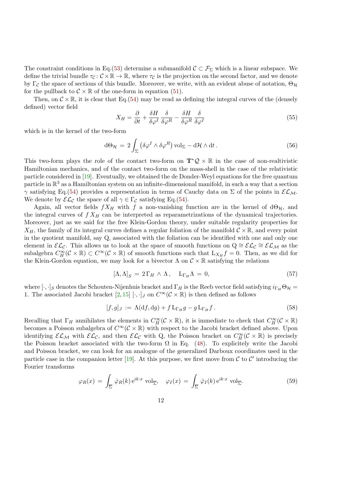<span id="page-11-0"></span>The constraint conditions in Eq.[\(53\)](#page-10-0) determine a submanifold  $\mathcal{C} \subset \mathcal{F}_{\Sigma}$  which is a linear subspace. We define the trivial bundle  $\tau_c : \mathcal{C} \times \mathbb{R} \to \mathbb{R}$ , where  $\tau_c$  is the projection on the second factor, and we denote by Γ<sub>C</sub> the space of sections of this bundle. Moreover, we write, with an evident abuse of notation,  $\Theta_{\mathcal{H}}$ for the pullback to  $\mathcal{C} \times \mathbb{R}$  of the one-form in equation [\(51\)](#page-10-1).

Then, on  $\mathcal{C} \times \mathbb{R}$ , it is clear that Eq.[\(54\)](#page-10-2) may be read as defining the integral curves of the (densely defined) vector field

$$
X_H = \frac{\partial}{\partial t} + \frac{\delta H}{\delta \varphi^I} \frac{\delta}{\delta \varphi^R} - \frac{\delta H}{\delta \varphi^R} \frac{\delta}{\delta \varphi^I} \tag{55}
$$

which is in the kernel of the two-form

$$
d\Theta_{\mathcal{H}} = 2 \int_{\Sigma} \left( \delta \varphi^I \wedge \delta \varphi^R \right) \text{vol}_{\Sigma} - d\mathcal{H} \wedge dt \,. \tag{56}
$$

This two-form plays the role of the contact two-form on  $\mathbf{T}^*\mathcal{Q} \times \mathbb{R}$  in the case of non-realtivistic Hamiltonian mechanics, and of the contact two-form on the mass-shell in the case of the relativistic particle considered in [\[19\]](#page-14-0). Eventually, we obtained the de Donder-Weyl equations for the free quantum particle in  $\mathbb{R}^3$  as a Hamiltonian system on an infinite-dimensional manifold, in such a way that a section  $γ$  satisfying Eq.[\(54\)](#page-10-2) provides a representation in terms of Cauchy data on Σ of the points in  $\mathcal{EL}_M$ . We denote by  $\mathcal{EL}_{\mathcal{C}}$  the space of all  $\gamma \in \Gamma_{\mathcal{C}}$  satisfying Eq.[\(54\)](#page-10-2).

Again, all vector fields  $fX_H$  with f a non-vanishing function are in the kernel of d $\Theta_H$ , and the integral curves of  $f X_H$  can be interpreted as reparametrizations of the dynamical trajectories. Moreover, just as we said for the free Klein-Gordon theory, under suitable regularity properties for  $X_H$ , the family of its integral curves defines a regular foliation of the manifold  $C \times \mathbb{R}$ , and every point in the quotient manifold, say Q, associated with the foliation can be identified with one and only one element in  $\mathcal{EL}_{\mathcal{C}}$ . This allows us to look at the space of smooth functions on  $Q \cong \mathcal{EL}_{\mathcal{C}} \cong \mathcal{EL}_{\mathcal{M}}$  as the subalgebra  $C_H^{\infty}(\mathcal{C} \times \mathbb{R}) \subset C^{\infty}(\mathcal{C} \times \mathbb{R})$  of smooth functions such that  $L_{X_H} f = 0$ . Then, as we did for the Klein-Gordon equation, we may look for a bivector  $\Lambda$  on  $\mathcal{C} \times \mathbb{R}$  satisfying the relations

$$
[\Lambda, \Lambda]_S = 2\Gamma_H \wedge \Lambda, \quad L_{\Gamma_H} \Lambda = 0,\tag{57}
$$

where  $[\cdot,\cdot]_S$  denotes the Schouten-Nijenhuis bracket and  $\Gamma_H$  is the Reeb vector field satisfying  $i_{\Gamma_H}\Theta_{\mathcal{H}}=$ 1. The associated Jacobi bracket [\[2,](#page-13-0) [15\]](#page-14-1) [ $\cdot$ ,  $\cdot$ ] on  $C^{\infty}(\mathcal{C} \times \mathbb{R})$  is then defined as follows

$$
[f,g]_J := \Lambda(\mathrm{d}f,\mathrm{d}g) + f \mathop{\mathrm{L}}\nolimits_{\Gamma_H} g - g \mathop{\mathrm{L}}\nolimits_{\Gamma_H} f. \tag{58}
$$

Recalling that  $\Gamma_H$  annihilates the elements in  $C_H^{\infty}(\mathcal{C} \times \mathbb{R})$ , it is immediate to check that  $C_H^{\infty}(\mathcal{C} \times \mathbb{R})$ becomes a Poisson subalgebra of  $C^{\infty}(\mathcal{C} \times \mathbb{R})$  with respect to the Jacobi bracket defined above. Upon identifying  $\mathcal{EL}_{\mathcal{M}}$  with  $\mathcal{EL}_{\mathcal{C}}$ , and then  $\mathcal{EL}_{\mathcal{C}}$  with Q, the Poisson bracket on  $C_H^{\infty}(\mathcal{C}\times\mathbb{R})$  is precisely the Poisson bracket associated with the two-form  $\Omega$  in Eq. [\(48\)](#page-10-3). To explicitely write the Jacobi and Poisson bracket, we can look for an analogue of the generalized Darboux coordinates used in the particle case in the companion letter [\[19\]](#page-14-0). At this purpose, we first move from  $\mathcal C$  to  $\mathcal C'$  introducing the Fourier transforms

$$
\varphi_R(x) = \int_{\overline{\Sigma}} \hat{\varphi}_R(k) e^{ik \cdot x} \operatorname{vol}_{\overline{\Sigma}}, \quad \varphi_I(x) = \int_{\overline{\Sigma}} \hat{\varphi}_I(k) e^{ik \cdot x} \operatorname{vol}_{\overline{\Sigma}}.
$$
 (59)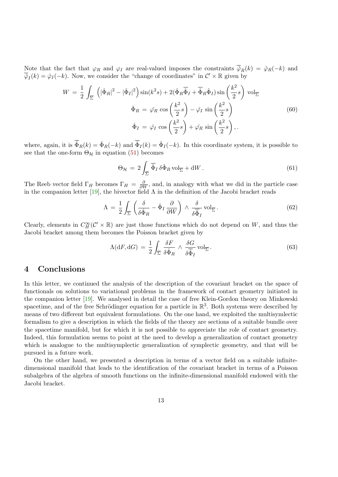<span id="page-12-0"></span>Note that the fact that  $\varphi_R$  and  $\varphi_I$  are real-valued imposes the constraints  $\overline{\hat{\varphi}}_R(k) = \hat{\varphi}_R(-k)$  and  $\overline{\hat{\varphi}}_I(k) = \hat{\varphi}_I(-k)$ . Now, we consider the "change of coordinates" in  $\mathcal{C}' \times \mathbb{R}$  given by

$$
W = \frac{1}{2} \int_{\overline{\Sigma}} \left( |\hat{\Phi}_R|^2 - |\hat{\Phi}_I|^2 \right) \sin(k^2 s) + 2(\hat{\Phi}_R \overline{\hat{\Phi}}_I + \overline{\hat{\Phi}}_R \hat{\Phi}_I) \sin\left(\frac{k^2}{2} s\right) \text{ vol}_{\overline{\Sigma}}
$$

$$
\hat{\Phi}_R = \hat{\varphi}_R \cos\left(\frac{k^2}{2} s\right) - \hat{\varphi}_I \sin\left(\frac{k^2}{2} s\right)
$$

$$
\hat{\Phi}_I = \hat{\varphi}_I \cos\left(\frac{k^2}{2} s\right) + \hat{\varphi}_R \sin\left(\frac{k^2}{2} s\right), \qquad (60)
$$

where, again, it is  $\hat{\Phi}_R(k) = \hat{\Phi}_R(-k)$  and  $\hat{\Phi}_I(k) = \hat{\Phi}_I(-k)$ . In this coordinate system, it is possible to see that the one-form  $\Theta_{\mathcal{H}}$  in equation [\(51\)](#page-10-1) becomes

$$
\Theta_{\mathcal{H}} = 2 \int_{\overline{\Sigma}} \overline{\hat{\Phi}}_I \, \delta \hat{\Phi}_R \, \text{vol}_{\overline{\Sigma}} + \text{d}W \,. \tag{61}
$$

The Reeb vector field  $\Gamma_H$  becomes  $\Gamma_H = \frac{\partial}{\partial W}$ , and, in analogy with what we did in the particle case in the companion letter [\[19\]](#page-14-0), the bivector field  $\Lambda$  in the definition of the Jacobi bracket reads

$$
\Lambda = \frac{1}{2} \int_{\overline{\Sigma}} \left( \frac{\delta}{\delta \hat{\Phi}_R} - \hat{\Phi}_I \frac{\partial}{\partial W} \right) \wedge \frac{\delta}{\delta \hat{\Phi}_I} \text{vol}_{\overline{\Sigma}}.
$$
 (62)

Clearly, elements in  $C_H^{\infty}(\mathcal{C}' \times \mathbb{R})$  are just those functions which do not depend on W, and thus the Jacobi bracket among them becomes the Poisson bracket given by

$$
\Lambda(\mathrm{d}F, \mathrm{d}G) = \frac{1}{2} \int_{\overline{\Sigma}} \frac{\delta F}{\delta \hat{\Phi}_R} \wedge \frac{\delta G}{\delta \hat{\Phi}_I} \mathrm{vol}_{\overline{\Sigma}}.
$$
\n(63)

### 4 Conclusions

In this letter, we continued the analysis of the description of the covariant bracket on the space of functionals on solutions to variational problems in the framework of contact geometry initiated in the companion letter [\[19\]](#page-14-0). We analysed in detail the case of free Klein-Gordon theory on Minkowski spacetime, and of the free Schrödinger equation for a particle in  $\mathbb{R}^3$ . Both systems were described by means of two different but equivalent formulations. On the one hand, we exploited the multisymlectic formalism to give a description in which the fields of the theory are sections of a suitable bundle over the spacetime manifold, but for which it is not possible to appreciate the role of contact geometry. Indeed, this formulation seems to point at the need to develop a generalization of contact geometry which is analogue to the multisymplectic generalization of symplectic geometry, and that will be pursued in a future work.

On the other hand, we presented a description in terms of a vector field on a suitable infinitedimensional manifold that leads to the identification of the covariant bracket in terms of a Poisson subalgebra of the algebra of smooth functions on the infinite-dimensional manifold endowed with the Jacobi bracket.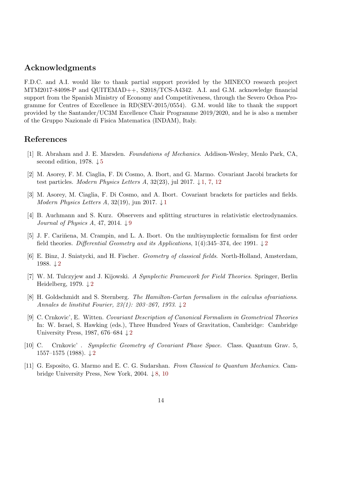### Acknowledgments

F.D.C. and A.I. would like to thank partial support provided by the MINECO research project MTM2017-84098-P and QUITEMAD++, S2018/TCS-A4342. A.I. and G.M. acknowledge financial support from the Spanish Ministry of Economy and Competitiveness, through the Severo Ochoa Programme for Centres of Excellence in RD(SEV-2015/0554). G.M. would like to thank the support provided by the Santander/UC3M Excellence Chair Programme 2019/2020, and he is also a member of the Gruppo Nazionale di Fisica Matematica (INDAM), Italy.

### References

- <span id="page-13-7"></span>[1] R. Abraham and J. E. Marsden. Foundations of Mechanics. Addison-Wesley, Menlo Park, CA, second edition, 1978.  $\downarrow 5$  $\downarrow 5$
- <span id="page-13-0"></span>[2] M. Asorey, F. M. Ciaglia, F. Di Cosmo, A. Ibort, and G. Marmo. Covariant Jacobi brackets for test particles. Modern Physics Letters A, 32(23), jul 2017.  $\downarrow$  [1,](#page-0-0) [7,](#page-6-0) [12](#page-11-0)
- <span id="page-13-1"></span>[3] M. Asorey, M. Ciaglia, F. Di Cosmo, and A. Ibort. Covariant brackets for particles and fields. Modern Physics Letters A, 32([1](#page-0-0)9), jun 2017.  $\downarrow$  1
- <span id="page-13-9"></span>[4] B. Auchmann and S. Kurz. Observers and splitting structures in relativistic electrodynamics. Journal of Physics A, 47, 2014.  $\downarrow$  [9](#page-8-1)
- <span id="page-13-2"></span>[5] J. F. Cariñena, M. Crampin, and L. A. Ibort. On the multisymplectic formalism for first order field theories. Differential Geometry and its Applications, 1(4):345–374, dec 1991.  $\downarrow$ [2](#page-1-1)
- [6] E. Binz, J. Sniatycki, and H. Fischer. Geometry of classical fields. North-Holland, Amsterdam, 1988. ↓ [2](#page-1-1)
- <span id="page-13-6"></span>[7] W. M. Tulczyjew and J. Kijowski. A Symplectic Framework for Field Theories. Springer, Berlin Heidelberg, 1979.  $\downarrow$  [2](#page-1-1)
- <span id="page-13-3"></span>[8] H. Goldschmidt and S. Sternberg. The Hamilton-Cartan formalism in the calculus ofvariations. Annales de linstitut Fourier, [2](#page-1-1)3(1): 203–267, 1973.  $\downarrow$ 2
- <span id="page-13-4"></span>[9] C. Crnkovic', E. Witten. Covariant Description of Canonical Formalism in Geometrical Theories In: W. Israel, S. Hawking (eds.), Three Hundred Years of Gravitation, Cambridge: Cambridge University Press, 1987, 676–684  $\downarrow$  [2](#page-1-1)
- <span id="page-13-5"></span>[10] C. Crnkovic' . Symplectic Geometry of Covariant Phase Space. Class. Quantum Grav. 5, 1557–1575 (1988).  $\downarrow$  [2](#page-1-1)
- <span id="page-13-8"></span>[11] G. Esposito, G. Marmo and E. C. G. Sudarshan. From Classical to Quantum Mechanics. Cambridge University Press, New York, 2004. ↓ [8,](#page-7-1) [10](#page-9-1)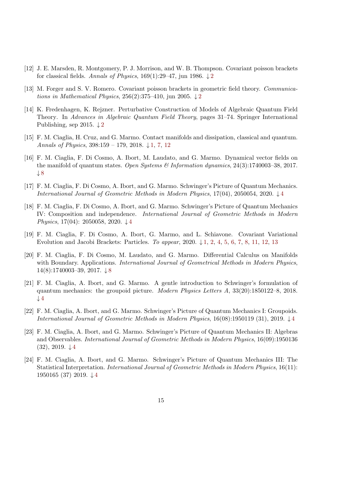- <span id="page-14-2"></span>[12] J. E. Marsden, R. Montgomery, P. J. Morrison, and W. B. Thompson. Covariant poisson brackets for classical fields. Annals of Physics, 169(1):[2](#page-1-1)9–47, jun 1986.  $\downarrow$ 2
- <span id="page-14-3"></span>[13] M. Forger and S. V. Romero. Covariant poisson brackets in geometric field theory. Communica-tions in Mathematical Physics, [2](#page-1-1)56(2):375–410, jun 2005.  $\downarrow$ 2
- <span id="page-14-4"></span>[14] K. Fredenhagen, K. Rejzner. Perturbative Construction of Models of Algebraic Quantum Field Theory. In Advances in Algebraic Quantum Field Theory, pages 31–74. Springer International Publishing, sep [2](#page-1-1)015.  $\downarrow$  2
- <span id="page-14-1"></span>[15] F. M. Ciaglia, H. Cruz, and G. Marmo. Contact manifolds and dissipation, classical and quantum. Annals of Physics,  $398:159 - 179$ ,  $2018$ .  $\downarrow$  [1,](#page-0-0) [7,](#page-6-0) [12](#page-11-0)
- <span id="page-14-9"></span>[16] F. M. Ciaglia, F. Di Cosmo, A. Ibort, M. Laudato, and G. Marmo. Dynamical vector fields on the manifold of quantum states. Open Systems & Information dynamics, 24(3):1740003–38, 2017.  $\downarrow 8$  $\downarrow 8$
- <span id="page-14-5"></span>[17] F. M. Ciaglia, F. Di Cosmo, A. Ibort, and G. Marmo. Schwinger's Picture of Quantum Mechanics. International Journal of Geometric Methods in Modern Physics, 17(04), 2050054, 2020. ↓ [4](#page-3-1)
- <span id="page-14-6"></span>[18] F. M. Ciaglia, F. Di Cosmo, A. Ibort, and G. Marmo. Schwinger's Picture of Quantum Mechanics IV: Composition and independence. International Journal of Geometric Methods in Modern *Physics*, 17(0[4](#page-3-1)): 2050058, 2020. ↓4
- <span id="page-14-0"></span>[19] F. M. Ciaglia, F. Di Cosmo, A. Ibort, G. Marmo, and L. Schiavone. Covariant Variational Evolution and Jacobi Brackets: Particles. To appear,  $2020.\downarrow 1, 2, 4, 5, 6, 7, 8, 11, 12, 13$  $2020.\downarrow 1, 2, 4, 5, 6, 7, 8, 11, 12, 13$  $2020.\downarrow 1, 2, 4, 5, 6, 7, 8, 11, 12, 13$  $2020.\downarrow 1, 2, 4, 5, 6, 7, 8, 11, 12, 13$  $2020.\downarrow 1, 2, 4, 5, 6, 7, 8, 11, 12, 13$  $2020.\downarrow 1, 2, 4, 5, 6, 7, 8, 11, 12, 13$  $2020.\downarrow 1, 2, 4, 5, 6, 7, 8, 11, 12, 13$  $2020.\downarrow 1, 2, 4, 5, 6, 7, 8, 11, 12, 13$  $2020.\downarrow 1, 2, 4, 5, 6, 7, 8, 11, 12, 13$  $2020.\downarrow 1, 2, 4, 5, 6, 7, 8, 11, 12, 13$  $2020.\downarrow 1, 2, 4, 5, 6, 7, 8, 11, 12, 13$  $2020.\downarrow 1, 2, 4, 5, 6, 7, 8, 11, 12, 13$  $2020.\downarrow 1, 2, 4, 5, 6, 7, 8, 11, 12, 13$  $2020.\downarrow 1, 2, 4, 5, 6, 7, 8, 11, 12, 13$  $2020.\downarrow 1, 2, 4, 5, 6, 7, 8, 11, 12, 13$  $2020.\downarrow 1, 2, 4, 5, 6, 7, 8, 11, 12, 13$  $2020.\downarrow 1, 2, 4, 5, 6, 7, 8, 11, 12, 13$  $2020.\downarrow 1, 2, 4, 5, 6, 7, 8, 11, 12, 13$  $2020.\downarrow 1, 2, 4, 5, 6, 7, 8, 11, 12, 13$  $2020.\downarrow 1, 2, 4, 5, 6, 7, 8, 11, 12, 13$
- <span id="page-14-10"></span>[20] F. M. Ciaglia, F. Di Cosmo, M. Laudato, and G. Marmo. Differential Calculus on Manifolds with Boundary. Applications. International Journal of Geometrical Methods in Modern Physics, 14(8):1740003–39, 2017. ↓ [8](#page-7-1)
- <span id="page-14-7"></span>[21] F. M. Ciaglia, A. Ibort, and G. Marmo. A gentle introduction to Schwinger's formulation of quantum mechanics: the groupoid picture. Modern Physics Letters A, 33(20):1850122–8, 2018.  $\downarrow$  [4](#page-3-1)
- [22] F. M. Ciaglia, A. Ibort, and G. Marmo. Schwinger's Picture of Quantum Mechanics I: Groupoids. International Journal of Geometric Methods in Modern Physics,  $16(08):1950119(31), 2019. \downarrow 4$  $16(08):1950119(31), 2019. \downarrow 4$
- [23] F. M. Ciaglia, A. Ibort, and G. Marmo. Schwinger's Picture of Quantum Mechanics II: Algebras and Observables. International Journal of Geometric Methods in Modern Physics, 16(09):1950136  $(32), 2019. \downarrow 4$  $(32), 2019. \downarrow 4$
- <span id="page-14-8"></span>[24] F. M. Ciaglia, A. Ibort, and G. Marmo. Schwinger's Picture of Quantum Mechanics III: The Statistical Interpretation. International Journal of Geometric Methods in Modern Physics, 16(11): 1950165 (37) 2019. ↓ [4](#page-3-1)